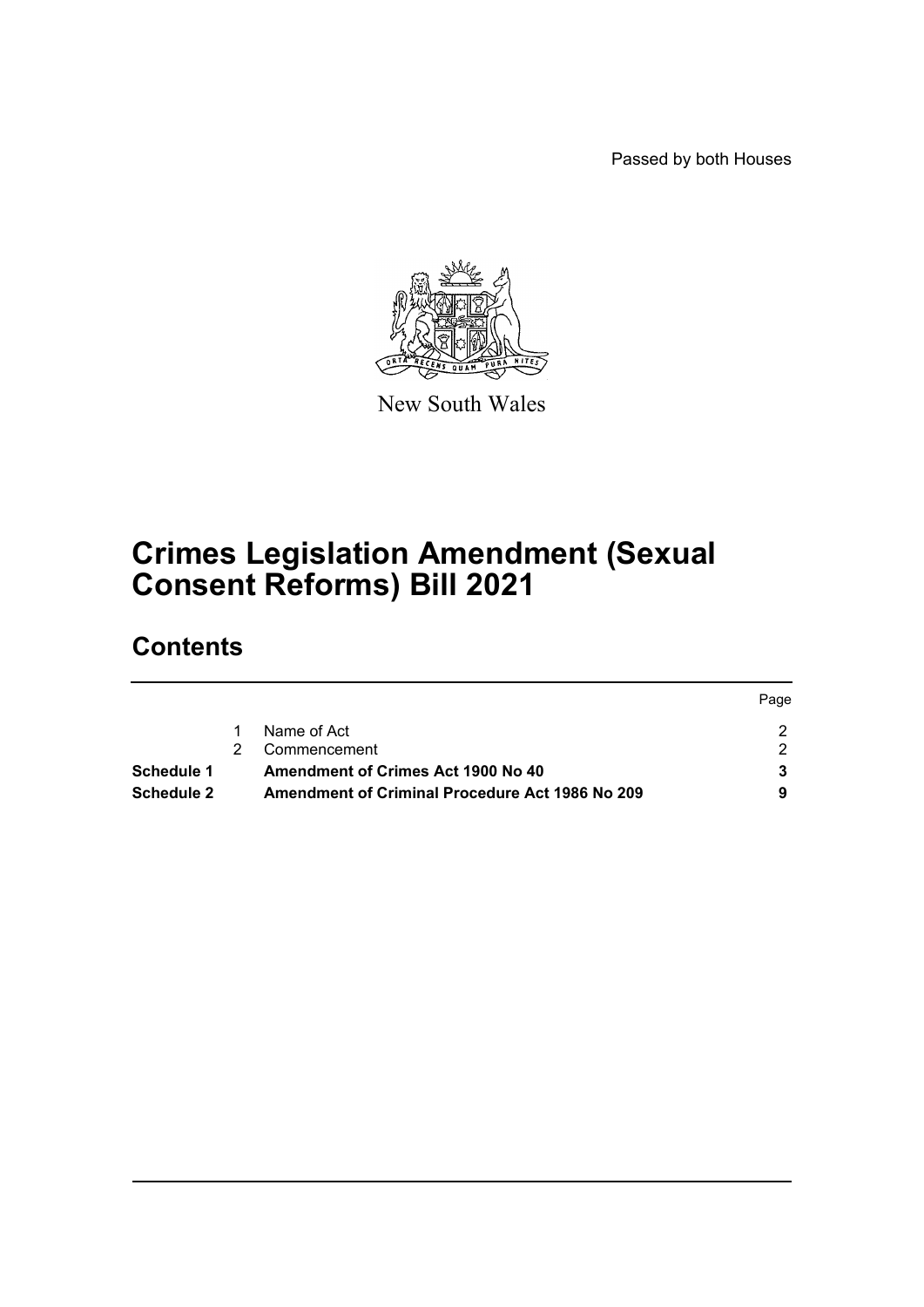Passed by both Houses



New South Wales

# **Crimes Legislation Amendment (Sexual Consent Reforms) Bill 2021**

# **Contents**

|                   |    |                                                        | Page |
|-------------------|----|--------------------------------------------------------|------|
|                   |    | Name of Act                                            |      |
|                   | 2. | Commencement                                           |      |
| Schedule 1        |    | <b>Amendment of Crimes Act 1900 No 40</b>              |      |
| <b>Schedule 2</b> |    | <b>Amendment of Criminal Procedure Act 1986 No 209</b> |      |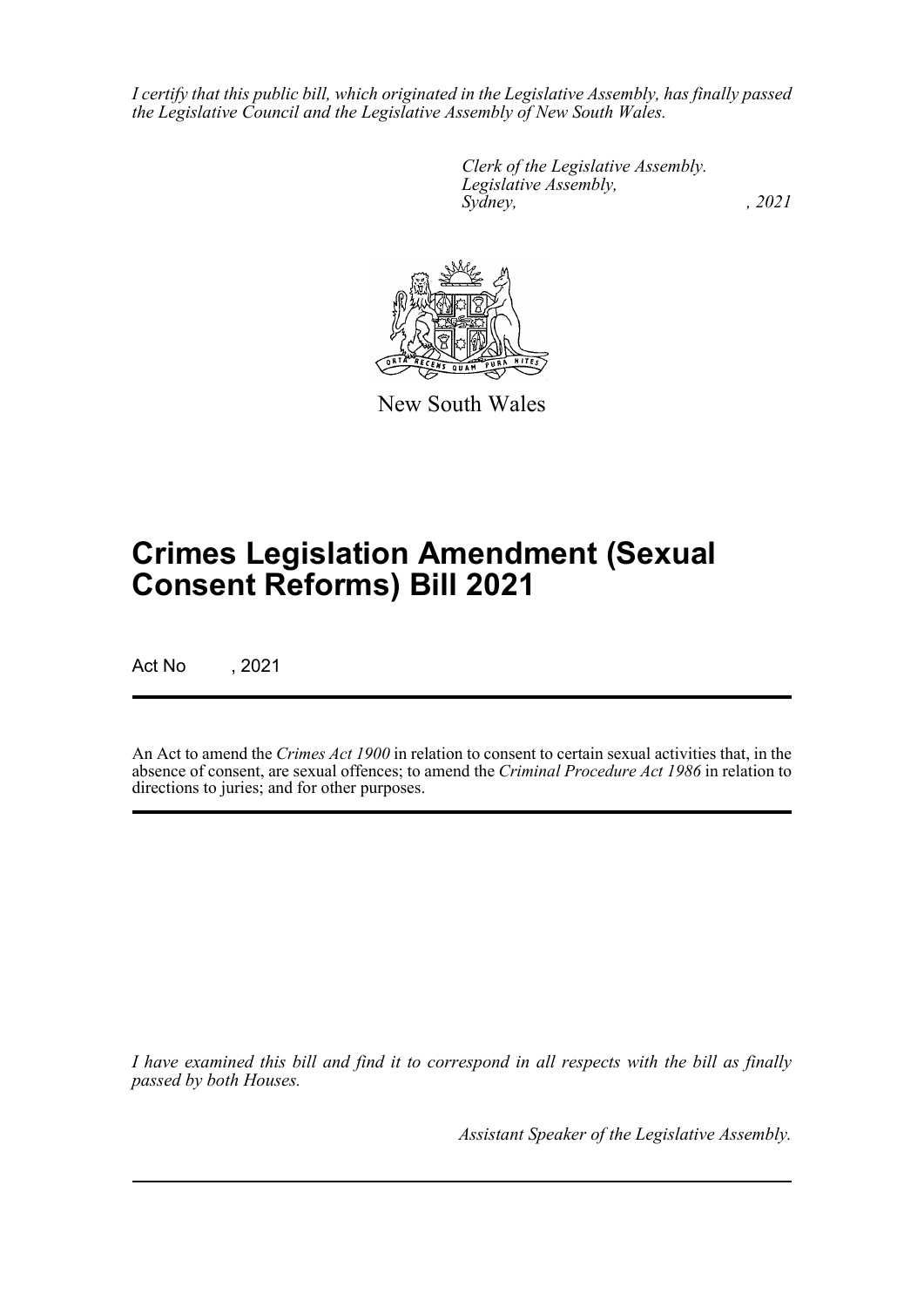*I certify that this public bill, which originated in the Legislative Assembly, has finally passed the Legislative Council and the Legislative Assembly of New South Wales.*

> *Clerk of the Legislative Assembly. Legislative Assembly, Sydney, , 2021*



New South Wales

# **Crimes Legislation Amendment (Sexual Consent Reforms) Bill 2021**

Act No , 2021

An Act to amend the *Crimes Act 1900* in relation to consent to certain sexual activities that, in the absence of consent, are sexual offences; to amend the *Criminal Procedure Act 1986* in relation to directions to juries; and for other purposes.

*I have examined this bill and find it to correspond in all respects with the bill as finally passed by both Houses.*

*Assistant Speaker of the Legislative Assembly.*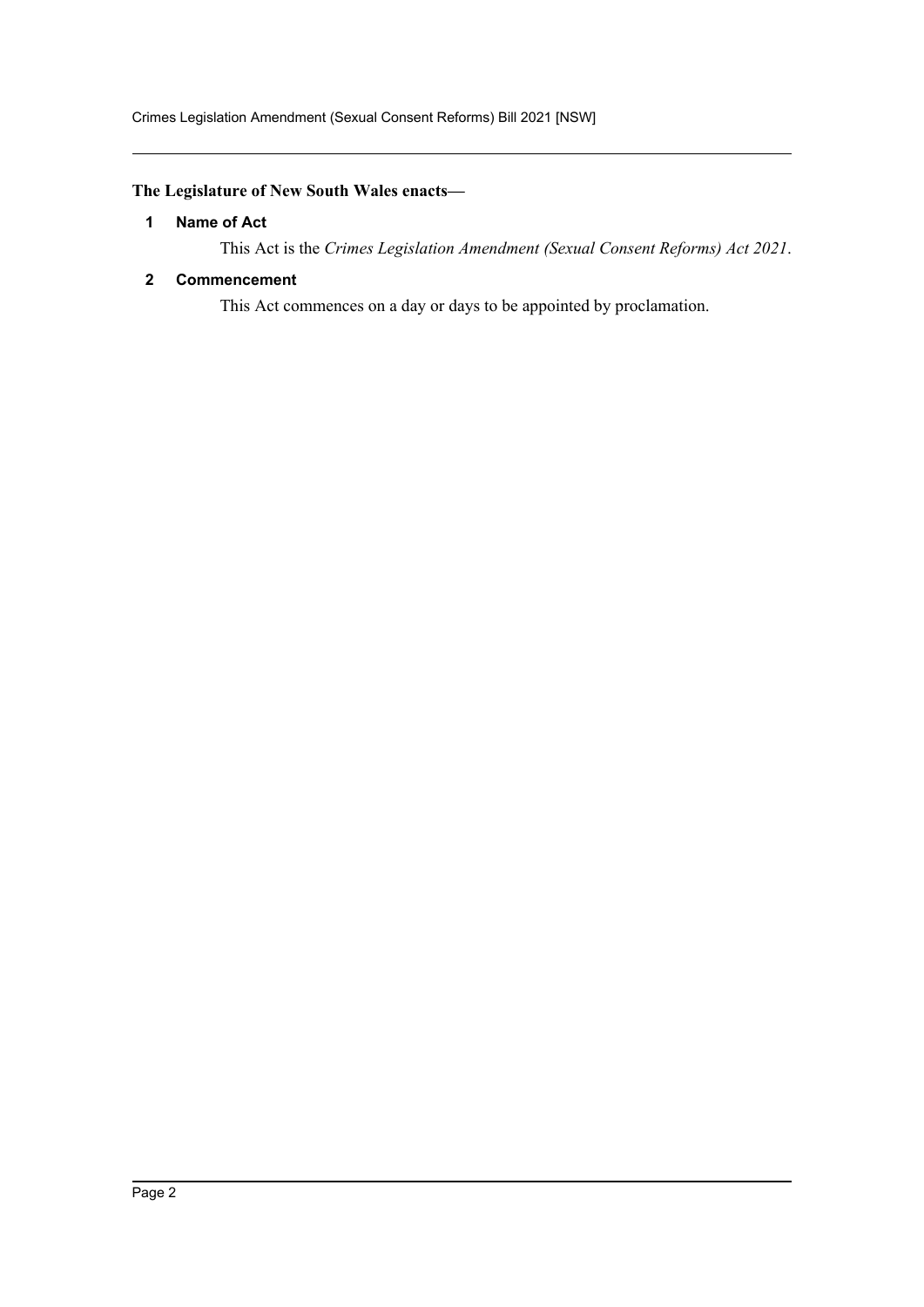# <span id="page-2-0"></span>**The Legislature of New South Wales enacts—**

#### **1 Name of Act**

This Act is the *Crimes Legislation Amendment (Sexual Consent Reforms) Act 2021*.

#### <span id="page-2-1"></span>**2 Commencement**

This Act commences on a day or days to be appointed by proclamation.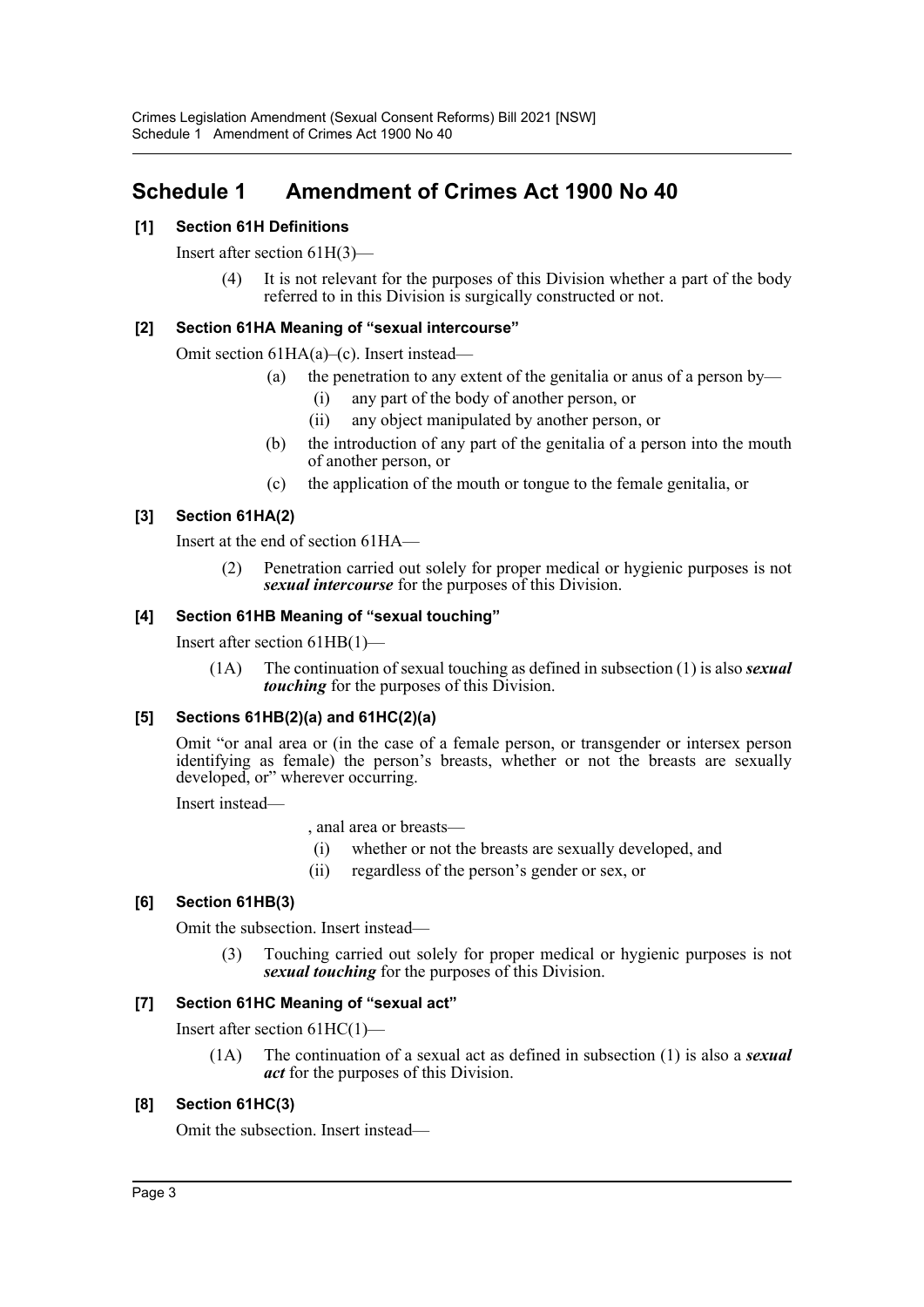# <span id="page-3-0"></span>**Schedule 1 Amendment of Crimes Act 1900 No 40**

# **[1] Section 61H Definitions**

Insert after section 61H(3)—

(4) It is not relevant for the purposes of this Division whether a part of the body referred to in this Division is surgically constructed or not.

## **[2] Section 61HA Meaning of "sexual intercourse"**

Omit section 61HA(a)–(c). Insert instead—

- (a) the penetration to any extent of the genitalia or anus of a person by—
	- (i) any part of the body of another person, or
	- (ii) any object manipulated by another person, or
- (b) the introduction of any part of the genitalia of a person into the mouth of another person, or
- (c) the application of the mouth or tongue to the female genitalia, or

## **[3] Section 61HA(2)**

Insert at the end of section 61HA—

(2) Penetration carried out solely for proper medical or hygienic purposes is not *sexual intercourse* for the purposes of this Division.

## **[4] Section 61HB Meaning of "sexual touching"**

Insert after section 61HB(1)—

(1A) The continuation of sexual touching as defined in subsection (1) is also *sexual touching* for the purposes of this Division.

## **[5] Sections 61HB(2)(a) and 61HC(2)(a)**

Omit "or anal area or (in the case of a female person, or transgender or intersex person identifying as female) the person's breasts, whether or not the breasts are sexually developed, or" wherever occurring.

Insert instead—

, anal area or breasts—

- (i) whether or not the breasts are sexually developed, and
- (ii) regardless of the person's gender or sex, or

## **[6] Section 61HB(3)**

Omit the subsection. Insert instead—

(3) Touching carried out solely for proper medical or hygienic purposes is not *sexual touching* for the purposes of this Division.

## **[7] Section 61HC Meaning of "sexual act"**

Insert after section 61HC(1)—

(1A) The continuation of a sexual act as defined in subsection (1) is also a *sexual act* for the purposes of this Division.

## **[8] Section 61HC(3)**

Omit the subsection. Insert instead—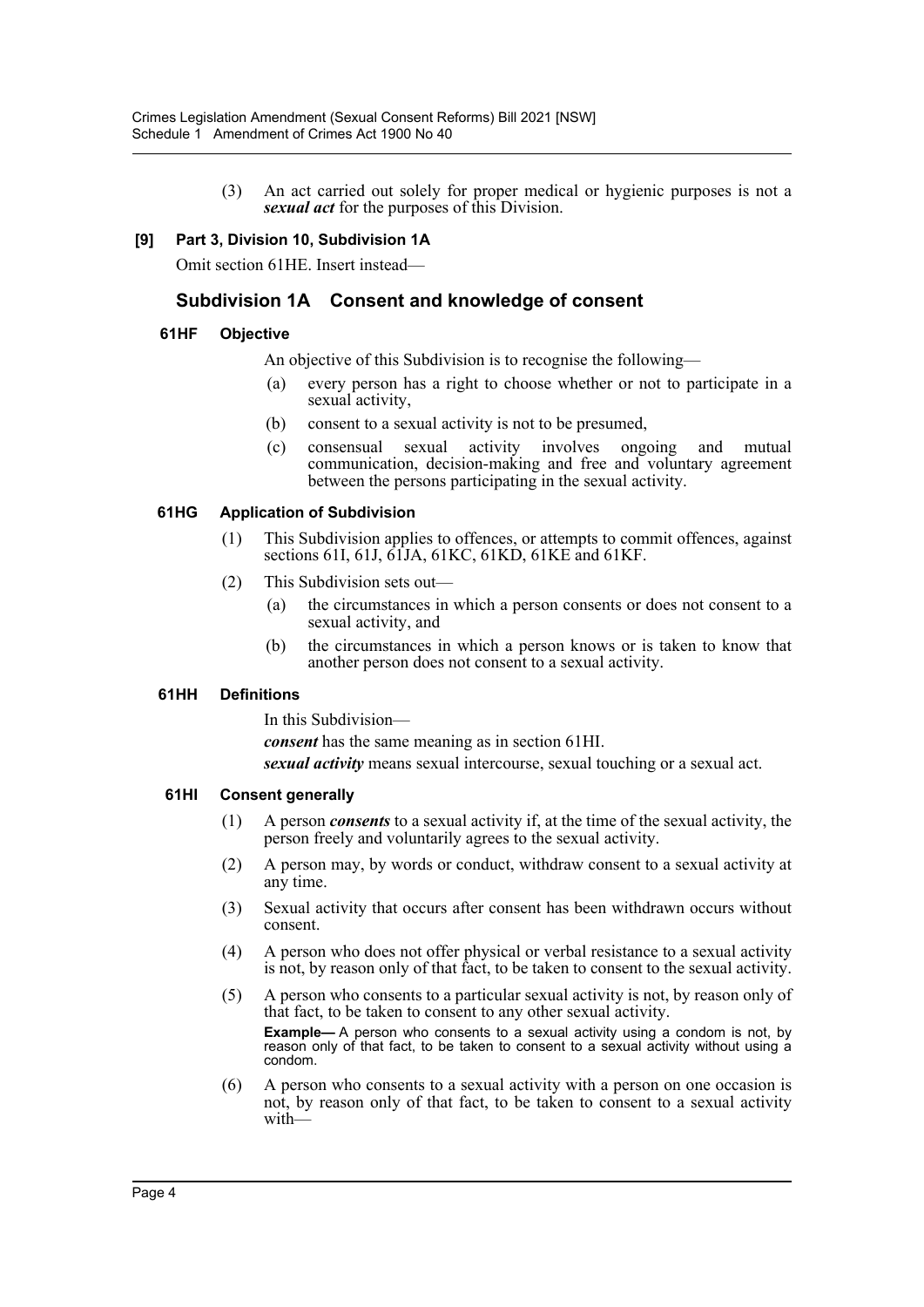(3) An act carried out solely for proper medical or hygienic purposes is not a *sexual act* for the purposes of this Division.

#### **[9] Part 3, Division 10, Subdivision 1A**

Omit section 61HE. Insert instead—

# **Subdivision 1A Consent and knowledge of consent**

#### **61HF Objective**

An objective of this Subdivision is to recognise the following—

- (a) every person has a right to choose whether or not to participate in a sexual activity,
- (b) consent to a sexual activity is not to be presumed,
- (c) consensual sexual activity involves ongoing and mutual communication, decision-making and free and voluntary agreement between the persons participating in the sexual activity.

#### **61HG Application of Subdivision**

- (1) This Subdivision applies to offences, or attempts to commit offences, against sections 61I, 61J, 61JA, 61KC, 61KD, 61KE and 61KF.
- (2) This Subdivision sets out—
	- (a) the circumstances in which a person consents or does not consent to a sexual activity, and
	- (b) the circumstances in which a person knows or is taken to know that another person does not consent to a sexual activity.

#### **61HH Definitions**

In this Subdivision—

*consent* has the same meaning as in section 61HI.

*sexual activity* means sexual intercourse, sexual touching or a sexual act.

#### **61HI Consent generally**

- (1) A person *consents* to a sexual activity if, at the time of the sexual activity, the person freely and voluntarily agrees to the sexual activity.
- (2) A person may, by words or conduct, withdraw consent to a sexual activity at any time.
- (3) Sexual activity that occurs after consent has been withdrawn occurs without consent.
- (4) A person who does not offer physical or verbal resistance to a sexual activity is not, by reason only of that fact, to be taken to consent to the sexual activity.
- (5) A person who consents to a particular sexual activity is not, by reason only of that fact, to be taken to consent to any other sexual activity. **Example—** A person who consents to a sexual activity using a condom is not, by reason only of that fact, to be taken to consent to a sexual activity without using a condom.
- (6) A person who consents to a sexual activity with a person on one occasion is not, by reason only of that fact, to be taken to consent to a sexual activity with—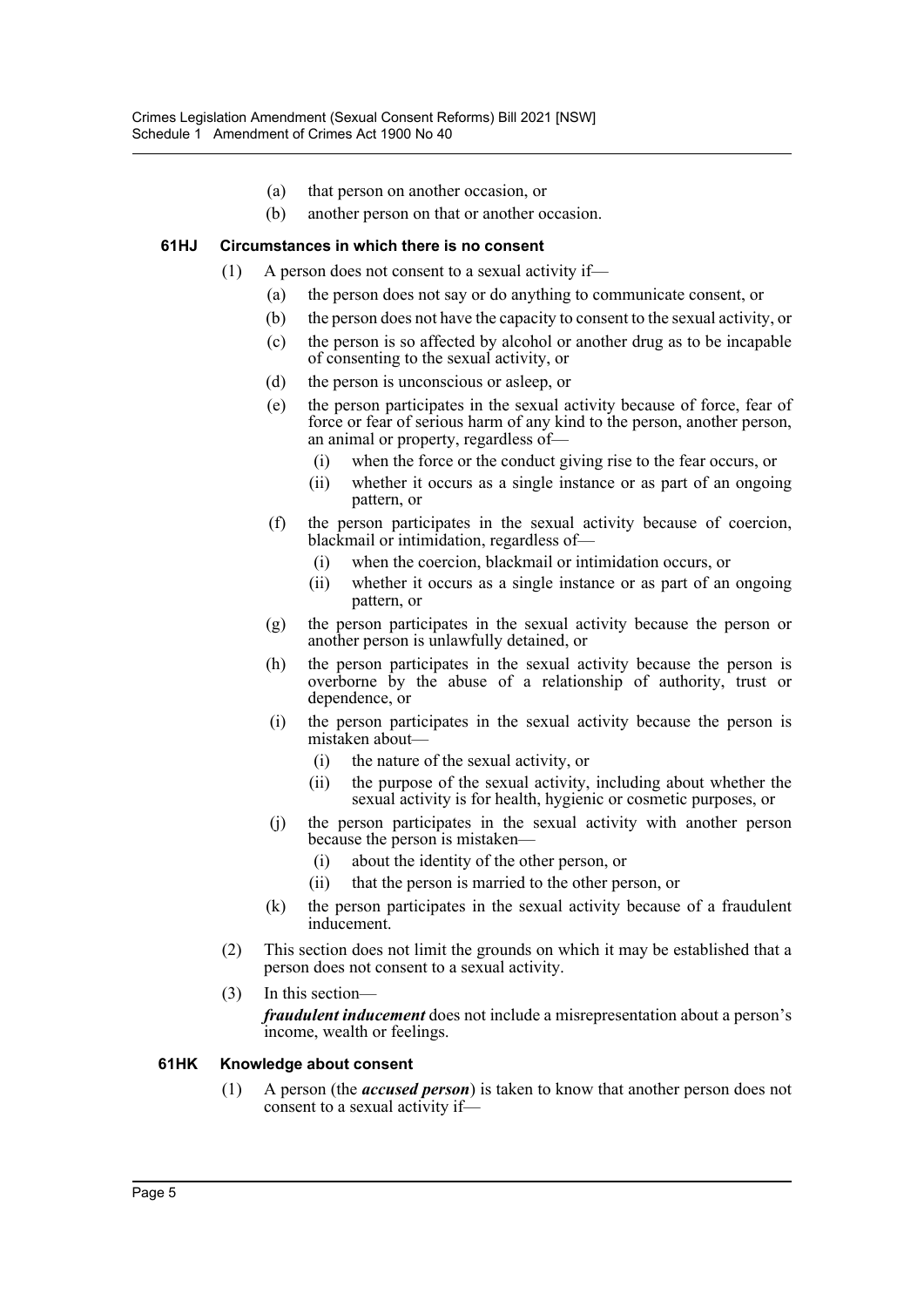- (a) that person on another occasion, or
- (b) another person on that or another occasion.

#### **61HJ Circumstances in which there is no consent**

- (1) A person does not consent to a sexual activity if—
	- (a) the person does not say or do anything to communicate consent, or
	- (b) the person does not have the capacity to consent to the sexual activity, or
	- (c) the person is so affected by alcohol or another drug as to be incapable of consenting to the sexual activity, or
	- (d) the person is unconscious or asleep, or
	- (e) the person participates in the sexual activity because of force, fear of force or fear of serious harm of any kind to the person, another person, an animal or property, regardless of—
		- (i) when the force or the conduct giving rise to the fear occurs, or
		- (ii) whether it occurs as a single instance or as part of an ongoing pattern, or
	- (f) the person participates in the sexual activity because of coercion, blackmail or intimidation, regardless of—
		- (i) when the coercion, blackmail or intimidation occurs, or
		- (ii) whether it occurs as a single instance or as part of an ongoing pattern, or
	- (g) the person participates in the sexual activity because the person or another person is unlawfully detained, or
	- (h) the person participates in the sexual activity because the person is overborne by the abuse of a relationship of authority, trust or dependence, or
	- (i) the person participates in the sexual activity because the person is mistaken about—
		- (i) the nature of the sexual activity, or
		- (ii) the purpose of the sexual activity, including about whether the sexual activity is for health, hygienic or cosmetic purposes, or
	- (j) the person participates in the sexual activity with another person because the person is mistaken—
		- (i) about the identity of the other person, or
		- (ii) that the person is married to the other person, or
	- (k) the person participates in the sexual activity because of a fraudulent inducement.
- (2) This section does not limit the grounds on which it may be established that a person does not consent to a sexual activity.
- (3) In this section—

*fraudulent inducement* does not include a misrepresentation about a person's income, wealth or feelings.

#### **61HK Knowledge about consent**

(1) A person (the *accused person*) is taken to know that another person does not consent to a sexual activity if—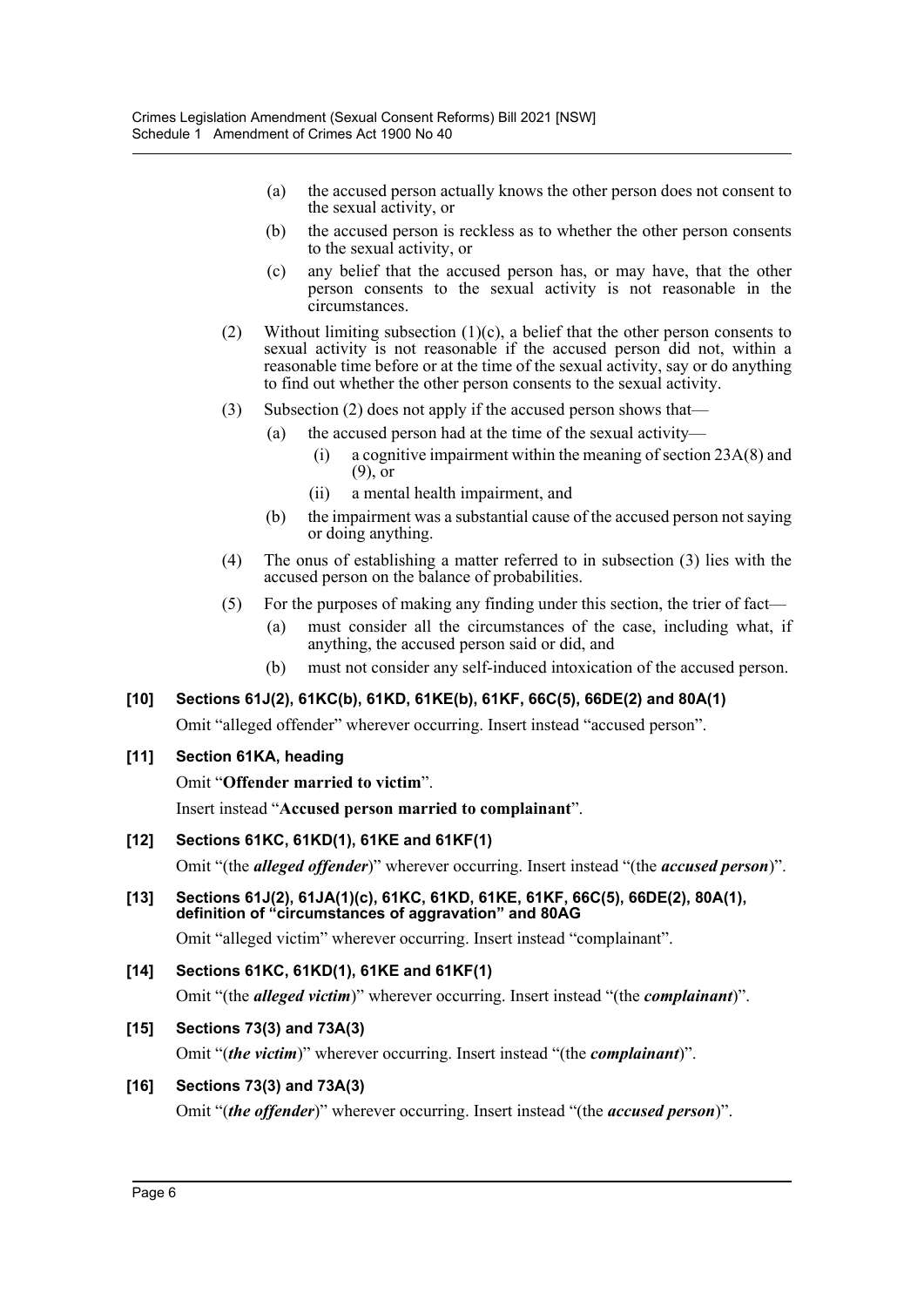- (a) the accused person actually knows the other person does not consent to the sexual activity, or
- (b) the accused person is reckless as to whether the other person consents to the sexual activity, or
- (c) any belief that the accused person has, or may have, that the other person consents to the sexual activity is not reasonable in the circumstances.
- (2) Without limiting subsection (1)(c), a belief that the other person consents to sexual activity is not reasonable if the accused person did not, within a reasonable time before or at the time of the sexual activity, say or do anything to find out whether the other person consents to the sexual activity.
- (3) Subsection (2) does not apply if the accused person shows that—
	- (a) the accused person had at the time of the sexual activity—
		- (i) a cognitive impairment within the meaning of section 23A(8) and (9), or
		- (ii) a mental health impairment, and
	- (b) the impairment was a substantial cause of the accused person not saying or doing anything.
- (4) The onus of establishing a matter referred to in subsection (3) lies with the accused person on the balance of probabilities.
- (5) For the purposes of making any finding under this section, the trier of fact—
	- (a) must consider all the circumstances of the case, including what, if anything, the accused person said or did, and
	- (b) must not consider any self-induced intoxication of the accused person.

# **[10] Sections 61J(2), 61KC(b), 61KD, 61KE(b), 61KF, 66C(5), 66DE(2) and 80A(1)**

Omit "alleged offender" wherever occurring. Insert instead "accused person".

## **[11] Section 61KA, heading**

Omit "**Offender married to victim**".

Insert instead "**Accused person married to complainant**".

## **[12] Sections 61KC, 61KD(1), 61KE and 61KF(1)**

Omit "(the *alleged offender*)" wherever occurring. Insert instead "(the *accused person*)".

**[13] Sections 61J(2), 61JA(1)(c), 61KC, 61KD, 61KE, 61KF, 66C(5), 66DE(2), 80A(1), definition of "circumstances of aggravation" and 80AG**

Omit "alleged victim" wherever occurring. Insert instead "complainant".

## **[14] Sections 61KC, 61KD(1), 61KE and 61KF(1)**

Omit "(the *alleged victim*)" wherever occurring. Insert instead "(the *complainant*)".

## **[15] Sections 73(3) and 73A(3)**

Omit "(*the victim*)" wherever occurring. Insert instead "(the *complainant*)".

#### **[16] Sections 73(3) and 73A(3)**

Omit "(*the offender*)" wherever occurring. Insert instead "(the *accused person*)".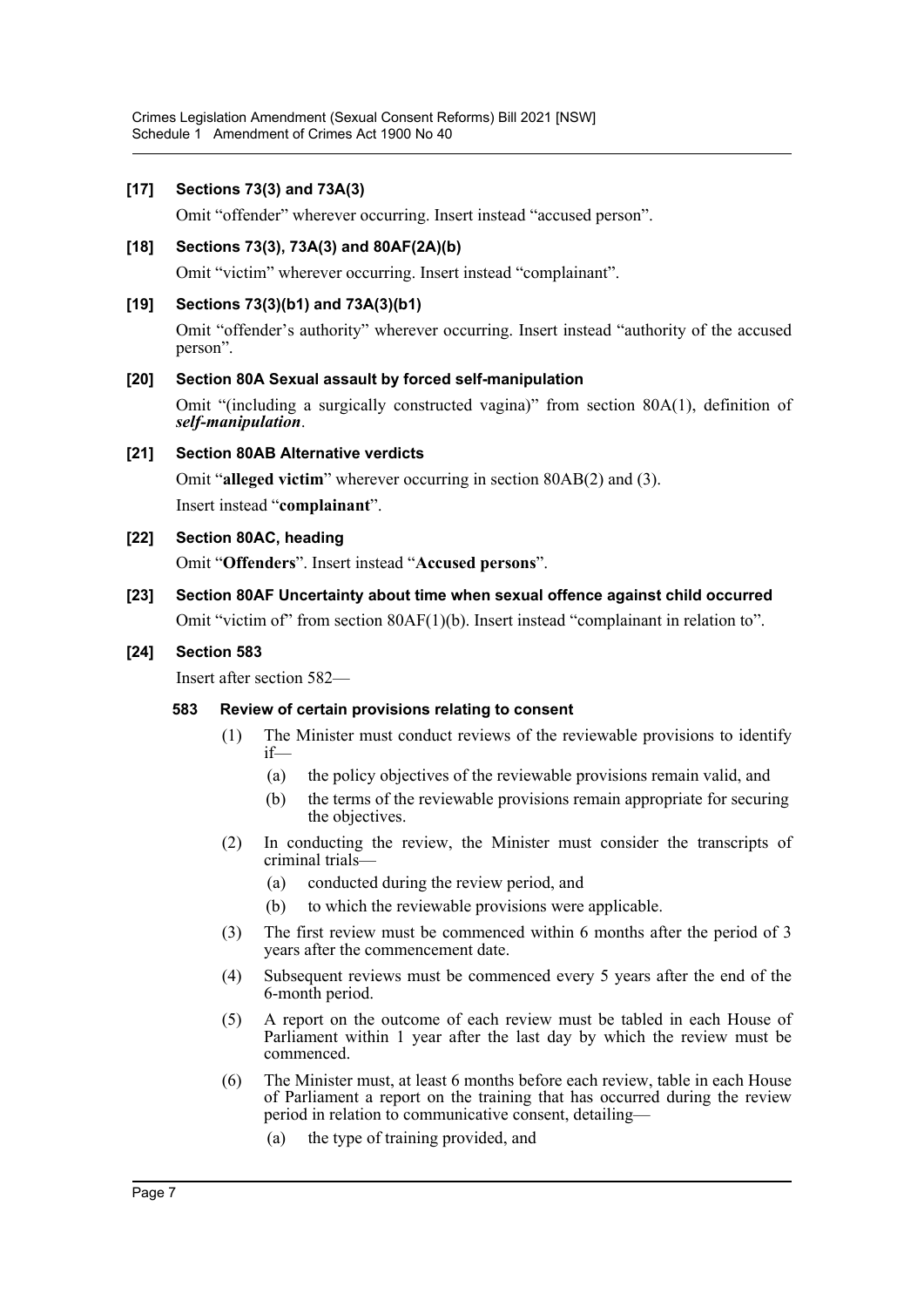#### **[17] Sections 73(3) and 73A(3)**

Omit "offender" wherever occurring. Insert instead "accused person".

#### **[18] Sections 73(3), 73A(3) and 80AF(2A)(b)**

Omit "victim" wherever occurring. Insert instead "complainant".

#### **[19] Sections 73(3)(b1) and 73A(3)(b1)**

Omit "offender's authority" wherever occurring. Insert instead "authority of the accused person".

#### **[20] Section 80A Sexual assault by forced self-manipulation**

Omit "(including a surgically constructed vagina)" from section 80A(1), definition of *self-manipulation*.

#### **[21] Section 80AB Alternative verdicts**

Omit "**alleged victim**" wherever occurring in section 80AB(2) and (3). Insert instead "**complainant**".

#### **[22] Section 80AC, heading**

Omit "**Offenders**". Insert instead "**Accused persons**".

# **[23] Section 80AF Uncertainty about time when sexual offence against child occurred**

Omit "victim of" from section 80AF(1)(b). Insert instead "complainant in relation to".

#### **[24] Section 583**

Insert after section 582—

#### **583 Review of certain provisions relating to consent**

- (1) The Minister must conduct reviews of the reviewable provisions to identify if—
	- (a) the policy objectives of the reviewable provisions remain valid, and
	- (b) the terms of the reviewable provisions remain appropriate for securing the objectives.
- (2) In conducting the review, the Minister must consider the transcripts of criminal trials—
	- (a) conducted during the review period, and
	- (b) to which the reviewable provisions were applicable.
- (3) The first review must be commenced within 6 months after the period of 3 years after the commencement date.
- (4) Subsequent reviews must be commenced every 5 years after the end of the 6-month period.
- (5) A report on the outcome of each review must be tabled in each House of Parliament within 1 year after the last day by which the review must be commenced.
- (6) The Minister must, at least 6 months before each review, table in each House of Parliament a report on the training that has occurred during the review period in relation to communicative consent, detailing—
	- (a) the type of training provided, and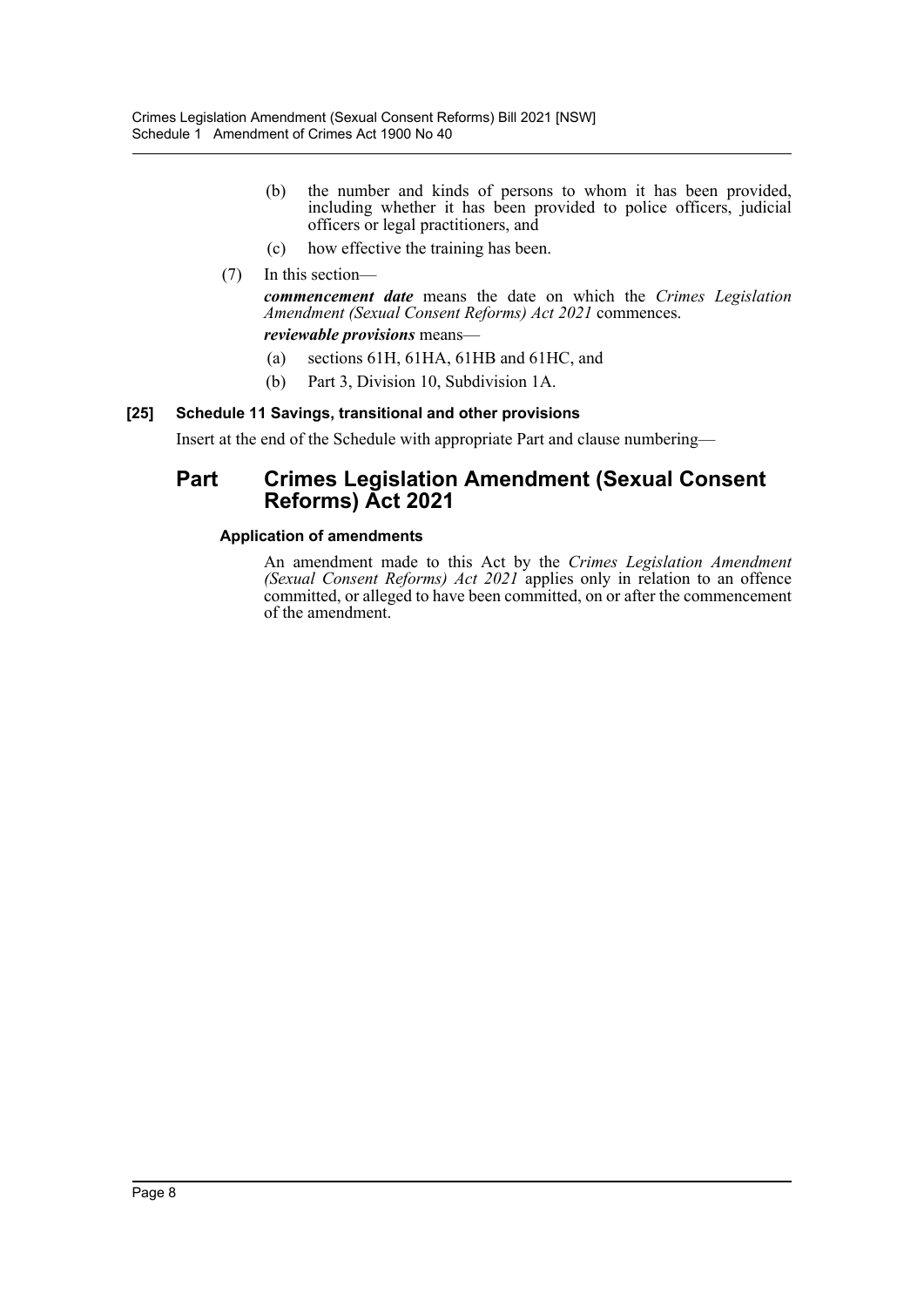- (b) the number and kinds of persons to whom it has been provided, including whether it has been provided to police officers, judicial officers or legal practitioners, and
- (c) how effective the training has been.

# (7) In this section—

*commencement date* means the date on which the *Crimes Legislation Amendment (Sexual Consent Reforms) Act 2021* commences.

*reviewable provisions* means—

- (a) sections 61H, 61HA, 61HB and 61HC, and
- (b) Part 3, Division 10, Subdivision 1A.

# **[25] Schedule 11 Savings, transitional and other provisions**

Insert at the end of the Schedule with appropriate Part and clause numbering—

# **Part Crimes Legislation Amendment (Sexual Consent Reforms) Act 2021**

## **Application of amendments**

An amendment made to this Act by the *Crimes Legislation Amendment (Sexual Consent Reforms) Act 2021* applies only in relation to an offence committed, or alleged to have been committed, on or after the commencement of the amendment.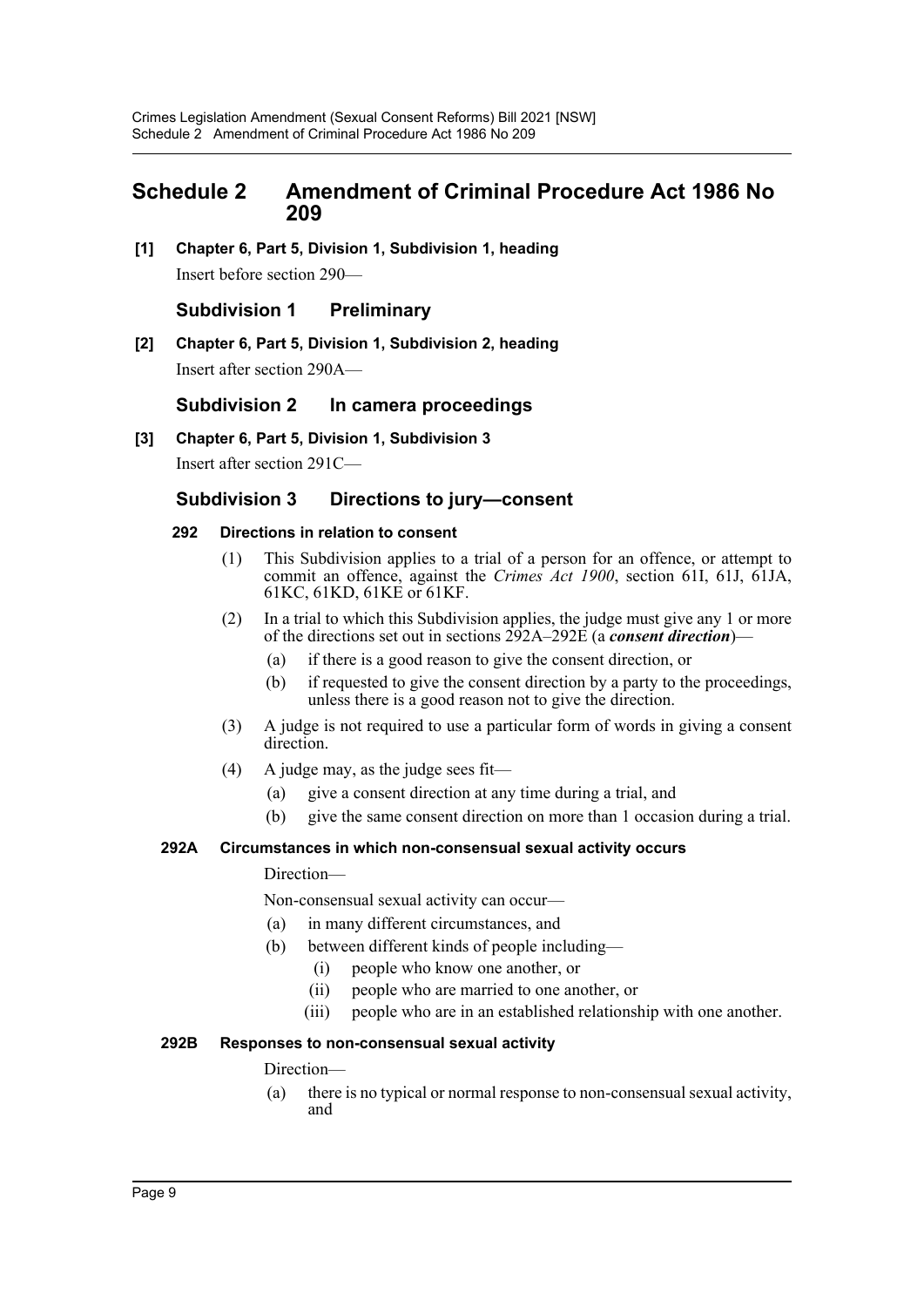# <span id="page-9-0"></span>**Schedule 2 Amendment of Criminal Procedure Act 1986 No 209**

**[1] Chapter 6, Part 5, Division 1, Subdivision 1, heading** Insert before section 290—

# **Subdivision 1 Preliminary**

**[2] Chapter 6, Part 5, Division 1, Subdivision 2, heading** Insert after section 290A—

# **Subdivision 2 In camera proceedings**

**[3] Chapter 6, Part 5, Division 1, Subdivision 3**

Insert after section 291C—

# **Subdivision 3 Directions to jury—consent**

#### **292 Directions in relation to consent**

- (1) This Subdivision applies to a trial of a person for an offence, or attempt to commit an offence, against the *Crimes Act 1900*, section 61I, 61J, 61JA, 61KC, 61KD, 61KE or 61KF.
- (2) In a trial to which this Subdivision applies, the judge must give any 1 or more of the directions set out in sections 292A–292E (a *consent direction*)—
	- (a) if there is a good reason to give the consent direction, or
	- (b) if requested to give the consent direction by a party to the proceedings, unless there is a good reason not to give the direction.
- (3) A judge is not required to use a particular form of words in giving a consent direction.
- (4) A judge may, as the judge sees fit—
	- (a) give a consent direction at any time during a trial, and
	- (b) give the same consent direction on more than 1 occasion during a trial.

#### **292A Circumstances in which non-consensual sexual activity occurs**

#### Direction—

Non-consensual sexual activity can occur—

- (a) in many different circumstances, and
- (b) between different kinds of people including—
	- (i) people who know one another, or
	- (ii) people who are married to one another, or
	- (iii) people who are in an established relationship with one another.

# **292B Responses to non-consensual sexual activity**

#### Direction—

(a) there is no typical or normal response to non-consensual sexual activity, and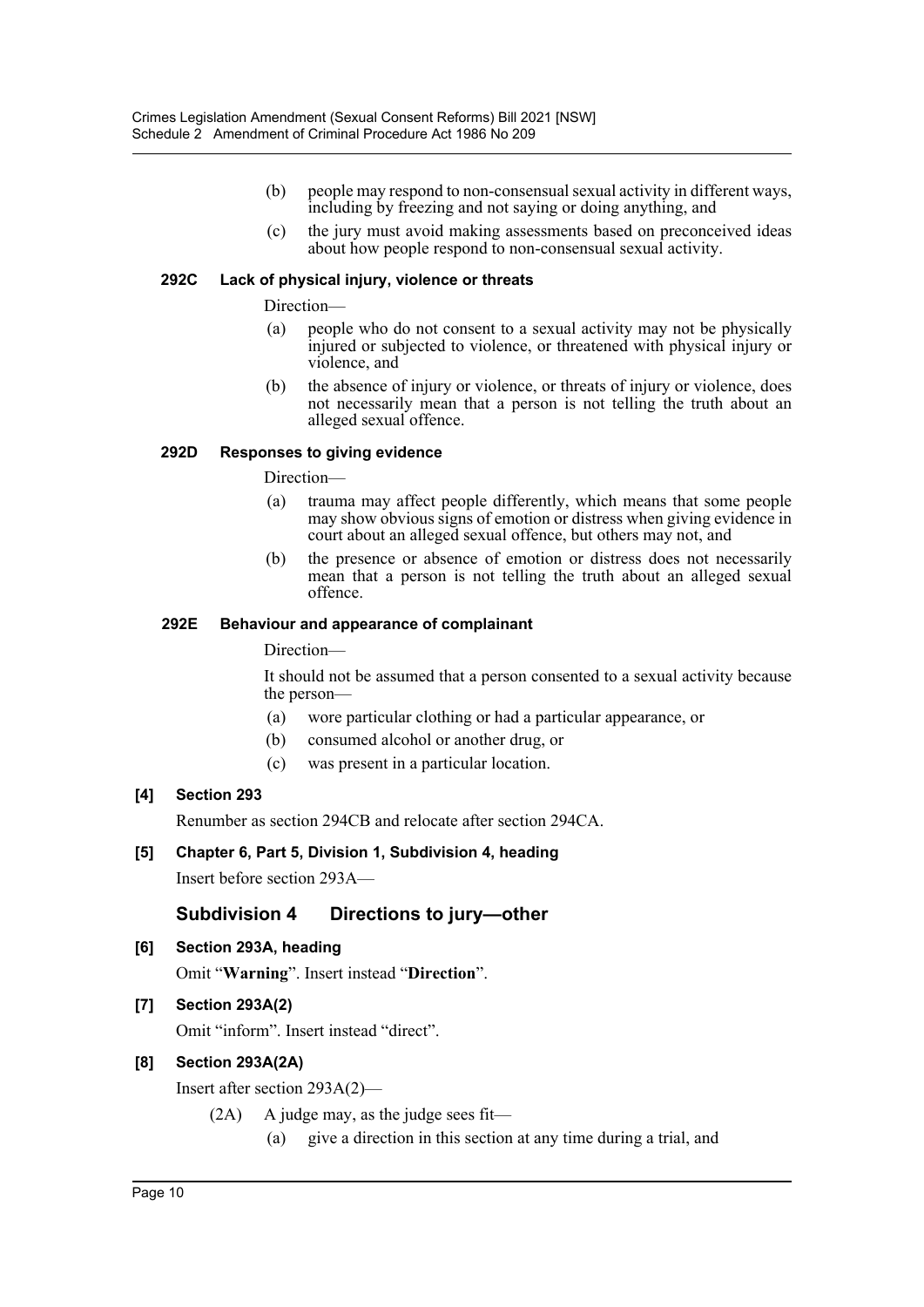- (b) people may respond to non-consensual sexual activity in different ways, including by freezing and not saying or doing anything, and
- (c) the jury must avoid making assessments based on preconceived ideas about how people respond to non-consensual sexual activity.

#### **292C Lack of physical injury, violence or threats**

Direction—

- (a) people who do not consent to a sexual activity may not be physically injured or subjected to violence, or threatened with physical injury or violence, and
- (b) the absence of injury or violence, or threats of injury or violence, does not necessarily mean that a person is not telling the truth about an alleged sexual offence.

#### **292D Responses to giving evidence**

Direction—

- (a) trauma may affect people differently, which means that some people may show obvious signs of emotion or distress when giving evidence in court about an alleged sexual offence, but others may not, and
- (b) the presence or absence of emotion or distress does not necessarily mean that a person is not telling the truth about an alleged sexual offence.

#### **292E Behaviour and appearance of complainant**

Direction—

It should not be assumed that a person consented to a sexual activity because the person—

- (a) wore particular clothing or had a particular appearance, or
- (b) consumed alcohol or another drug, or
- (c) was present in a particular location.

## **[4] Section 293**

Renumber as section 294CB and relocate after section 294CA.

# **[5] Chapter 6, Part 5, Division 1, Subdivision 4, heading**

Insert before section 293A—

# **Subdivision 4 Directions to jury—other**

**[6] Section 293A, heading**

Omit "**Warning**". Insert instead "**Direction**".

## **[7] Section 293A(2)**

Omit "inform". Insert instead "direct".

## **[8] Section 293A(2A)**

Insert after section 293A(2)—

- (2A) A judge may, as the judge sees fit—
	- (a) give a direction in this section at any time during a trial, and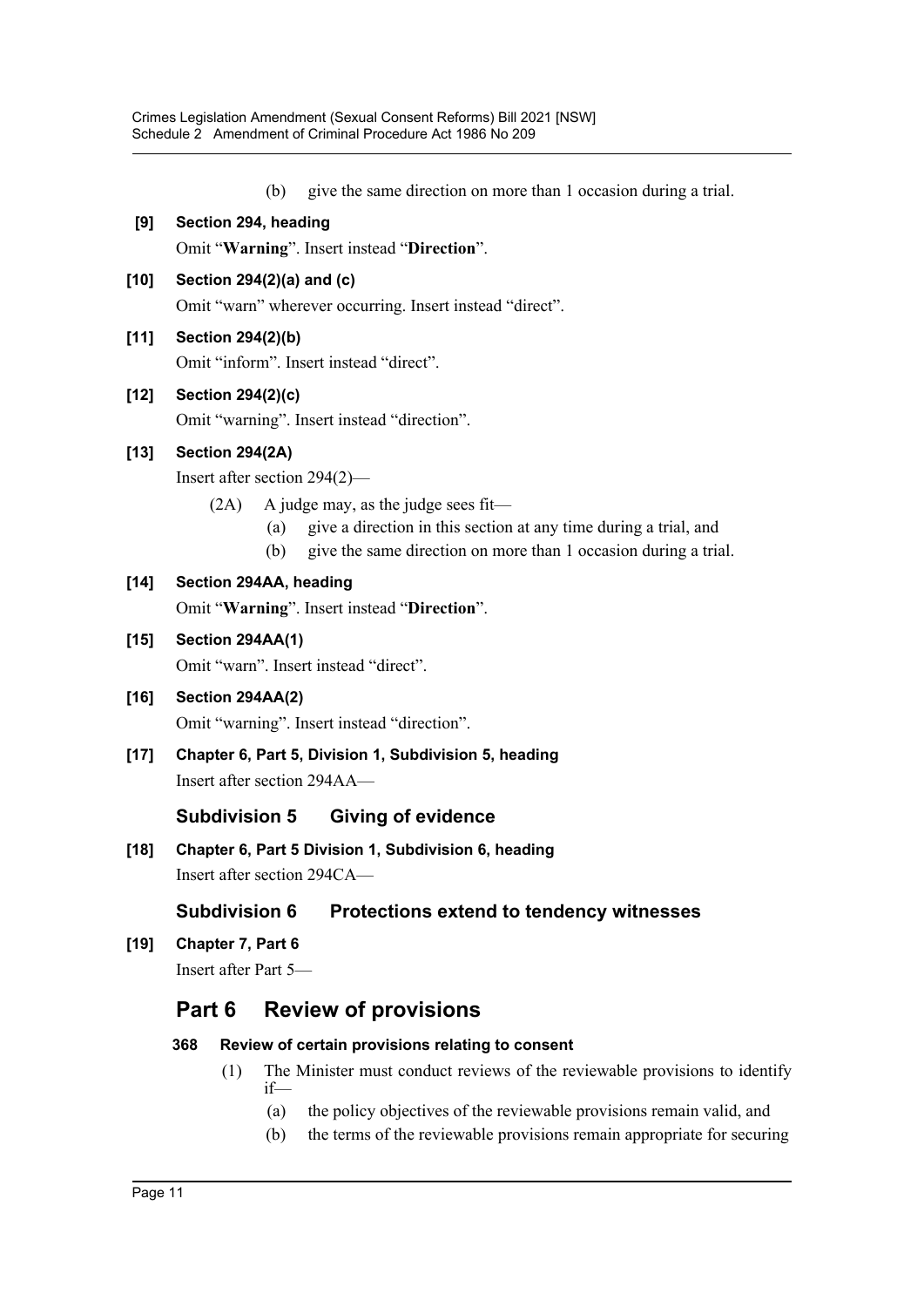- (b) give the same direction on more than 1 occasion during a trial.
- **[9] Section 294, heading**

Omit "**Warning**". Insert instead "**Direction**".

**[10] Section 294(2)(a) and (c)**

Omit "warn" wherever occurring. Insert instead "direct".

**[11] Section 294(2)(b)**

Omit "inform". Insert instead "direct".

# **[12] Section 294(2)(c)**

Omit "warning". Insert instead "direction".

# **[13] Section 294(2A)**

Insert after section 294(2)—

- (2A) A judge may, as the judge sees fit—
	- (a) give a direction in this section at any time during a trial, and
	- (b) give the same direction on more than 1 occasion during a trial.

# **[14] Section 294AA, heading**

Omit "**Warning**". Insert instead "**Direction**".

# **[15] Section 294AA(1)**

Omit "warn". Insert instead "direct".

# **[16] Section 294AA(2)**

Omit "warning". Insert instead "direction".

**[17] Chapter 6, Part 5, Division 1, Subdivision 5, heading** Insert after section 294AA—

# **Subdivision 5 Giving of evidence**

**[18] Chapter 6, Part 5 Division 1, Subdivision 6, heading** Insert after section 294CA—

# **Subdivision 6 Protections extend to tendency witnesses**

**[19] Chapter 7, Part 6**

Insert after Part 5—

# **Part 6 Review of provisions**

## **368 Review of certain provisions relating to consent**

- (1) The Minister must conduct reviews of the reviewable provisions to identify if—
	- (a) the policy objectives of the reviewable provisions remain valid, and
	- (b) the terms of the reviewable provisions remain appropriate for securing